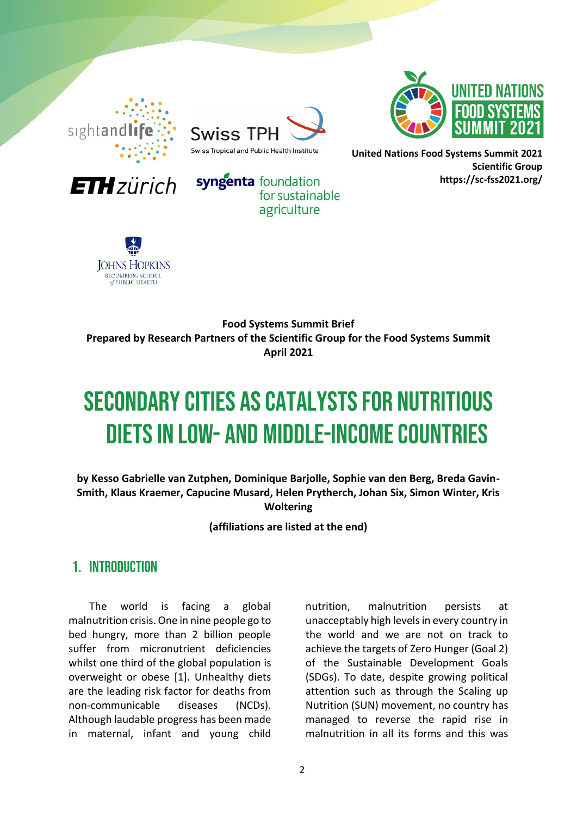

**ETH** zürich



syngenta foundation



**United Nations Food Systems Summit 2021 Scientific Group https://sc-fss2021.org/** 



**Food Systems Summit Brief Prepared by Research Partners of the Scientific Group for the Food Systems Summit April 2021**

for sustainable agriculture

# **SECONDARY CITIES AS CATALYSTS FOR NUTRITIOUS DIETS IN LOW- AND MIDDLE-INCOME COUNTRIES**

**by Kesso Gabrielle van Zutphen, Dominique Barjolle, Sophie van den Berg, Breda Gavin-Smith, Klaus Kraemer, Capucine Musard, Helen Prytherch, Johan Six, Simon Winter, Kris Woltering**

**(affiliations are listed at the end)**

### 1. INTRODUCTION

The world is facing a global malnutrition crisis. One in nine people go to bed hungry, more than 2 billion people suffer from micronutrient deficiencies whilst one third of the global population is overweight or obese [1]. Unhealthy diets are the leading risk factor for deaths from non-communicable diseases (NCDs). Although laudable progress has been made in maternal, infant and young child

nutrition, malnutrition persists at unacceptably high levels in every country in the world and we are not on track to achieve the targets of Zero Hunger (Goal 2) of the Sustainable Development Goals (SDGs). To date, despite growing political attention such as through the Scaling up Nutrition (SUN) movement, no country has managed to reverse the rapid rise in malnutrition in all its forms and this was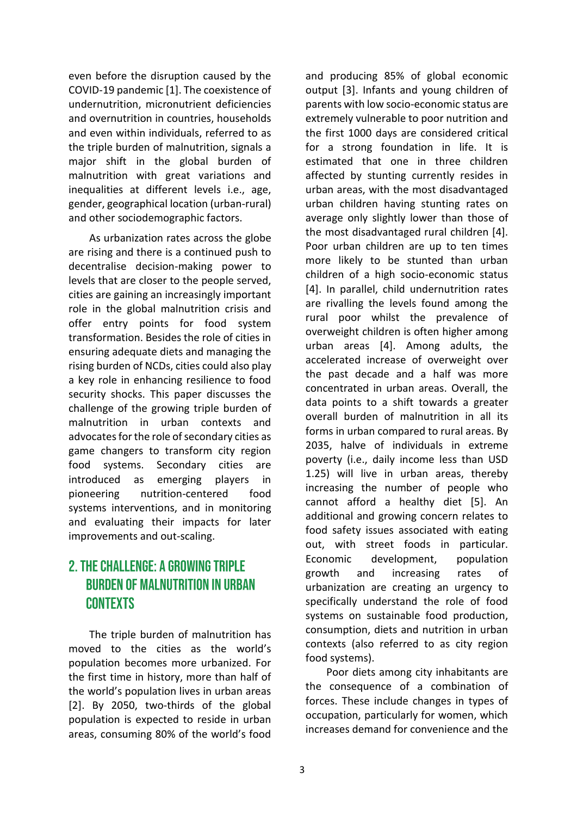even before the disruption caused by the COVID-19 pandemic [1]. The coexistence of undernutrition, micronutrient deficiencies and overnutrition in countries, households and even within individuals, referred to as the triple burden of malnutrition, signals a major shift in the global burden of malnutrition with great variations and inequalities at different levels i.e., age, gender, geographical location (urban-rural) and other sociodemographic factors.

As urbanization rates across the globe are rising and there is a continued push to decentralise decision-making power to levels that are closer to the people served, cities are gaining an increasingly important role in the global malnutrition crisis and offer entry points for food system transformation. Besides the role of cities in ensuring adequate diets and managing the rising burden of NCDs, cities could also play a key role in enhancing resilience to food security shocks. This paper discusses the challenge of the growing triple burden of malnutrition in urban contexts and advocates for the role of secondary cities as game changers to transform city region food systems. Secondary cities are introduced as emerging players in pioneering nutrition-centered food systems interventions, and in monitoring and evaluating their impacts for later improvements and out-scaling.

# 2. THE CHALLENGE: A GROWING TRIPLE **BURDEN OF MALNUTRITION IN URBAN CONTEXTS**

The triple burden of malnutrition has moved to the cities as the world's population becomes more urbanized. For the first time in history, more than half of the world's population lives in urban areas [2]. By 2050, two-thirds of the global population is expected to reside in urban areas, consuming 80% of the world's food

and producing 85% of global economic output [3]. Infants and young children of parents with low socio-economic status are extremely vulnerable to poor nutrition and the first 1000 days are considered critical for a strong foundation in life. It is estimated that one in three children affected by stunting currently resides in urban areas, with the most disadvantaged urban children having stunting rates on average only slightly lower than those of the most disadvantaged rural children [4]. Poor urban children are up to ten times more likely to be stunted than urban children of a high socio-economic status [4]. In parallel, child undernutrition rates are rivalling the levels found among the rural poor whilst the prevalence of overweight children is often higher among urban areas [4]. Among adults, the accelerated increase of overweight over the past decade and a half was more concentrated in urban areas. Overall, the data points to a shift towards a greater overall burden of malnutrition in all its forms in urban compared to rural areas. By 2035, halve of individuals in extreme poverty (i.e., daily income less than USD 1.25) will live in urban areas, thereby increasing the number of people who cannot afford a healthy diet [5]. An additional and growing concern relates to food safety issues associated with eating out, with street foods in particular. Economic development, population growth and increasing rates of urbanization are creating an urgency to specifically understand the role of food systems on sustainable food production, consumption, diets and nutrition in urban contexts (also referred to as city region food systems).

Poor diets among city inhabitants are the consequence of a combination of forces. These include changes in types of occupation, particularly for women, which increases demand for convenience and the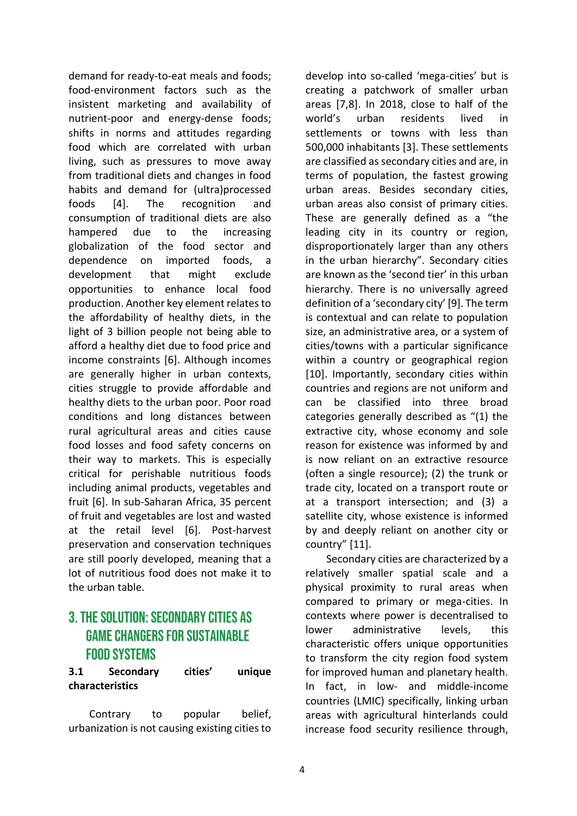demand for ready-to-eat meals and foods; food-environment factors such as the insistent marketing and availability of nutrient-poor and energy-dense foods; shifts in norms and attitudes regarding food which are correlated with urban living, such as pressures to move away from traditional diets and changes in food habits and demand for (ultra)processed foods [4]. The recognition and consumption of traditional diets are also hampered due to the increasing globalization of the food sector and dependence on imported foods, a development that might exclude opportunities to enhance local food production. Another key element relates to the affordability of healthy diets, in the light of 3 billion people not being able to afford a healthy diet due to food price and income constraints [6]. Although incomes are generally higher in urban contexts, cities struggle to provide affordable and healthy diets to the urban poor. Poor road conditions and long distances between rural agricultural areas and cities cause food losses and food safety concerns on their way to markets. This is especially critical for perishable nutritious foods including animal products, vegetables and fruit [6]. In sub-Saharan Africa, 35 percent of fruit and vegetables are lost and wasted at the retail level [6]. Post-harvest preservation and conservation techniques are still poorly developed, meaning that a lot of nutritious food does not make it to the urban table.

## **3. THE SOLUTION: SECONDARY CITIES AS GAME CHANGERS FOR SUSTAINABLE FOOD SYSTEMS**

#### **3.1 Secondary cities' unique characteristics**

Contrary to popular belief, urbanization is not causing existing cities to develop into so-called 'mega-cities' but is creating a patchwork of smaller urban areas [7,8]. In 2018, close to half of the world's urban residents lived in settlements or towns with less than 500,000 inhabitants [3]. These settlements are classified as secondary cities and are, in terms of population, the fastest growing urban areas. Besides secondary cities, urban areas also consist of primary cities. These are generally defined as a "the leading city in its country or region, disproportionately larger than any others in the urban hierarchy". Secondary cities are known as the 'second tier' in this urban hierarchy. There is no universally agreed definition of a 'secondary city' [9]. The term is contextual and can relate to population size, an administrative area, or a system of cities/towns with a particular significance within a country or geographical region [10]. Importantly, secondary cities within countries and regions are not uniform and can be classified into three broad categories generally described as "(1) the extractive city, whose economy and sole reason for existence was informed by and is now reliant on an extractive resource (often a single resource); (2) the trunk or trade city, located on a transport route or at a transport intersection; and (3) a satellite city, whose existence is informed by and deeply reliant on another city or country" [11].

Secondary cities are characterized by a relatively smaller spatial scale and a physical proximity to rural areas when compared to primary or mega-cities. In contexts where power is decentralised to lower administrative levels, this characteristic offers unique opportunities to transform the city region food system for improved human and planetary health. In fact, in low- and middle-income countries (LMIC) specifically, linking urban areas with agricultural hinterlands could increase food security resilience through,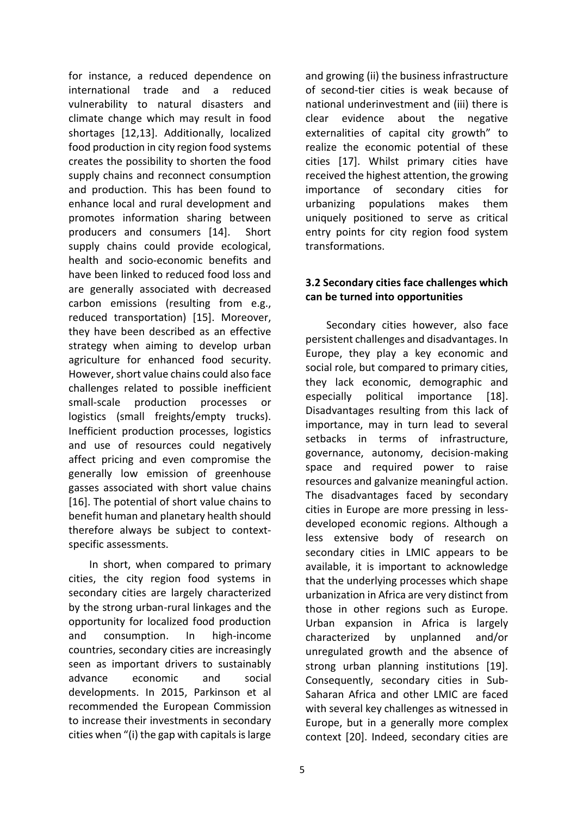for instance, a reduced dependence on international trade and a reduced vulnerability to natural disasters and climate change which may result in food shortages [12,13]. Additionally, localized food production in city region food systems creates the possibility to shorten the food supply chains and reconnect consumption and production. This has been found to enhance local and rural development and promotes information sharing between producers and consumers [14]. Short supply chains could provide ecological, health and socio-economic benefits and have been linked to reduced food loss and are generally associated with decreased carbon emissions (resulting from e.g., reduced transportation) [15]. Moreover, they have been described as an effective strategy when aiming to develop urban agriculture for enhanced food security. However, short value chains could also face challenges related to possible inefficient small-scale production processes or logistics (small freights/empty trucks). Inefficient production processes, logistics and use of resources could negatively affect pricing and even compromise the generally low emission of greenhouse gasses associated with short value chains [16]. The potential of short value chains to benefit human and planetary health should therefore always be subject to contextspecific assessments.

In short, when compared to primary cities, the city region food systems in secondary cities are largely characterized by the strong urban-rural linkages and the opportunity for localized food production and consumption. In high-income countries, secondary cities are increasingly seen as important drivers to sustainably advance economic and social developments. In 2015, Parkinson et al recommended the European Commission to increase their investments in secondary cities when "(i) the gap with capitals is large and growing (ii) the business infrastructure of second-tier cities is weak because of national underinvestment and (iii) there is clear evidence about the negative externalities of capital city growth" to realize the economic potential of these cities [17]. Whilst primary cities have received the highest attention, the growing importance of secondary cities for urbanizing populations makes them uniquely positioned to serve as critical entry points for city region food system transformations.

#### **3.2 Secondary cities face challenges which can be turned into opportunities**

Secondary cities however, also face persistent challenges and disadvantages. In Europe, they play a key economic and social role, but compared to primary cities, they lack economic, demographic and especially political importance [18]. Disadvantages resulting from this lack of importance, may in turn lead to several setbacks in terms of infrastructure, governance, autonomy, decision-making space and required power to raise resources and galvanize meaningful action. The disadvantages faced by secondary cities in Europe are more pressing in lessdeveloped economic regions. Although a less extensive body of research on secondary cities in LMIC appears to be available, it is important to acknowledge that the underlying processes which shape urbanization in Africa are very distinct from those in other regions such as Europe. Urban expansion in Africa is largely characterized by unplanned and/or unregulated growth and the absence of strong urban planning institutions [19]. Consequently, secondary cities in Sub-Saharan Africa and other LMIC are faced with several key challenges as witnessed in Europe, but in a generally more complex context [20]. Indeed, secondary cities are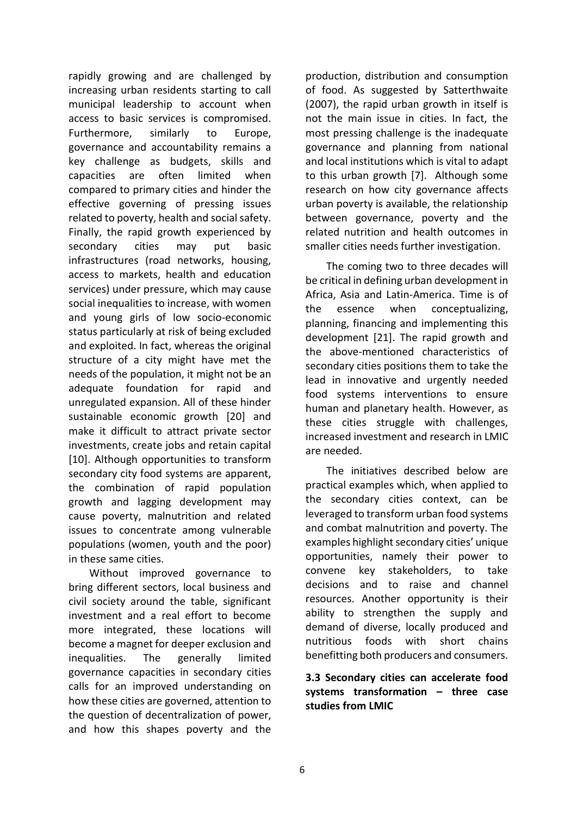rapidly growing and are challenged by increasing urban residents starting to call municipal leadership to account when access to basic services is compromised. Furthermore, similarly to Europe, governance and accountability remains a key challenge as budgets, skills and capacities are often limited when compared to primary cities and hinder the effective governing of pressing issues related to poverty, health and social safety. Finally, the rapid growth experienced by secondary cities may put basic infrastructures (road networks, housing, access to markets, health and education services) under pressure, which may cause social inequalities to increase, with women and young girls of low socio-economic status particularly at risk of being excluded and exploited. In fact, whereas the original structure of a city might have met the needs of the population, it might not be an adequate foundation for rapid and unregulated expansion. All of these hinder sustainable economic growth [20] and make it difficult to attract private sector investments, create jobs and retain capital [10]. Although opportunities to transform secondary city food systems are apparent, the combination of rapid population growth and lagging development may cause poverty, malnutrition and related issues to concentrate among vulnerable populations (women, youth and the poor) in these same cities.

Without improved governance to bring different sectors, local business and civil society around the table, significant investment and a real effort to become more integrated, these locations will become a magnet for deeper exclusion and inequalities. The generally limited governance capacities in secondary cities calls for an improved understanding on how these cities are governed, attention to the question of decentralization of power, and how this shapes poverty and the production, distribution and consumption of food. As suggested by Satterthwaite (2007), the rapid urban growth in itself is not the main issue in cities. In fact, the most pressing challenge is the inadequate governance and planning from national and local institutions which is vital to adapt to this urban growth [7]. Although some research on how city governance affects urban poverty is available, the relationship between governance, poverty and the related nutrition and health outcomes in smaller cities needs further investigation.

The coming two to three decades will be critical in defining urban development in Africa, Asia and Latin-America. Time is of the essence when conceptualizing, planning, financing and implementing this development [21]. The rapid growth and the above-mentioned characteristics of secondary cities positions them to take the lead in innovative and urgently needed food systems interventions to ensure human and planetary health. However, as these cities struggle with challenges, increased investment and research in LMIC are needed.

The initiatives described below are practical examples which, when applied to the secondary cities context, can be leveraged to transform urban food systems and combat malnutrition and poverty. The examples highlight secondary cities' unique opportunities, namely their power to convene key stakeholders, to take decisions and to raise and channel resources. Another opportunity is their ability to strengthen the supply and demand of diverse, locally produced and nutritious foods with short chains benefitting both producers and consumers.

**3.3 Secondary cities can accelerate food systems transformation – three case studies from LMIC**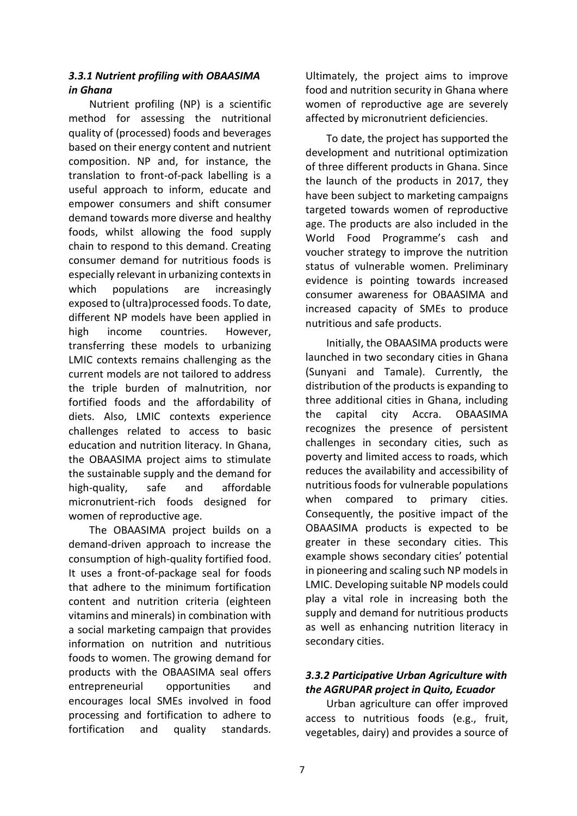#### *3.3.1 Nutrient profiling with OBAASIMA in Ghana*

Nutrient profiling (NP) is a scientific method for assessing the nutritional quality of (processed) foods and beverages based on their energy content and nutrient composition. NP and, for instance, the translation to front-of-pack labelling is a useful approach to inform, educate and empower consumers and shift consumer demand towards more diverse and healthy foods, whilst allowing the food supply chain to respond to this demand. Creating consumer demand for nutritious foods is especially relevant in urbanizing contexts in which populations are increasingly exposed to (ultra)processed foods. To date, different NP models have been applied in high income countries. However, transferring these models to urbanizing LMIC contexts remains challenging as the current models are not tailored to address the triple burden of malnutrition, nor fortified foods and the affordability of diets. Also, LMIC contexts experience challenges related to access to basic education and nutrition literacy. In Ghana, the OBAASIMA project aims to stimulate the sustainable supply and the demand for high-quality, safe and affordable micronutrient-rich foods designed for women of reproductive age.

The OBAASIMA project builds on a demand-driven approach to increase the consumption of high-quality fortified food. It uses a front-of-package seal for foods that adhere to the minimum fortification content and nutrition criteria (eighteen vitamins and minerals) in combination with a social marketing campaign that provides information on nutrition and nutritious foods to women. The growing demand for products with the OBAASIMA seal offers entrepreneurial opportunities and encourages local SMEs involved in food processing and fortification to adhere to fortification and quality standards. Ultimately, the project aims to improve food and nutrition security in Ghana where women of reproductive age are severely affected by micronutrient deficiencies.

To date, the project has supported the development and nutritional optimization of three different products in Ghana. Since the launch of the products in 2017, they have been subject to marketing campaigns targeted towards women of reproductive age. The products are also included in the World Food Programme's cash and voucher strategy to improve the nutrition status of vulnerable women. Preliminary evidence is pointing towards increased consumer awareness for OBAASIMA and increased capacity of SMEs to produce nutritious and safe products.

Initially, the OBAASIMA products were launched in two secondary cities in Ghana (Sunyani and Tamale). Currently, the distribution of the products is expanding to three additional cities in Ghana, including the capital city Accra. OBAASIMA recognizes the presence of persistent challenges in secondary cities, such as poverty and limited access to roads, which reduces the availability and accessibility of nutritious foods for vulnerable populations when compared to primary cities. Consequently, the positive impact of the OBAASIMA products is expected to be greater in these secondary cities. This example shows secondary cities' potential in pioneering and scaling such NP models in LMIC. Developing suitable NP models could play a vital role in increasing both the supply and demand for nutritious products as well as enhancing nutrition literacy in secondary cities.

#### *3.3.2 Participative Urban Agriculture with the AGRUPAR project in Quito, Ecuador*

Urban agriculture can offer improved access to nutritious foods (e.g., fruit, vegetables, dairy) and provides a source of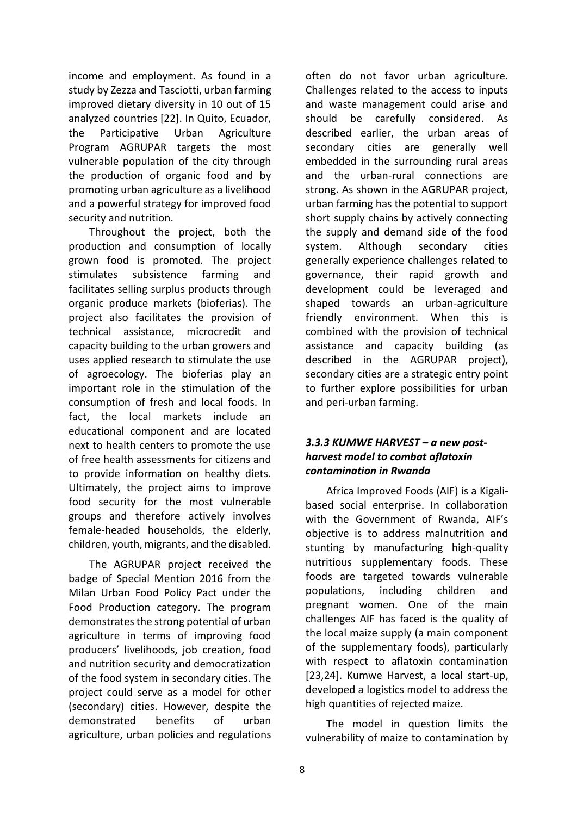income and employment. As found in a study by Zezza and Tasciotti, urban farming improved dietary diversity in 10 out of 15 analyzed countries [22]. In Quito, Ecuador, the Participative Urban Agriculture Program AGRUPAR targets the most vulnerable population of the city through the production of organic food and by promoting urban agriculture as a livelihood and a powerful strategy for improved food security and nutrition.

Throughout the project, both the production and consumption of locally grown food is promoted. The project stimulates subsistence farming and facilitates selling surplus products through organic produce markets (bioferias). The project also facilitates the provision of technical assistance, microcredit and capacity building to the urban growers and uses applied research to stimulate the use of agroecology. The bioferias play an important role in the stimulation of the consumption of fresh and local foods. In fact, the local markets include an educational component and are located next to health centers to promote the use of free health assessments for citizens and to provide information on healthy diets. Ultimately, the project aims to improve food security for the most vulnerable groups and therefore actively involves female-headed households, the elderly, children, youth, migrants, and the disabled.

The AGRUPAR project received the badge of Special Mention 2016 from the Milan Urban Food Policy Pact under the Food Production category. The program demonstrates the strong potential of urban agriculture in terms of improving food producers' livelihoods, job creation, food and nutrition security and democratization of the food system in secondary cities. The project could serve as a model for other (secondary) cities. However, despite the demonstrated benefits of urban agriculture, urban policies and regulations often do not favor urban agriculture. Challenges related to the access to inputs and waste management could arise and should be carefully considered. As described earlier, the urban areas of secondary cities are generally well embedded in the surrounding rural areas and the urban-rural connections are strong. As shown in the AGRUPAR project, urban farming has the potential to support short supply chains by actively connecting the supply and demand side of the food system. Although secondary cities generally experience challenges related to governance, their rapid growth and development could be leveraged and shaped towards an urban-agriculture friendly environment. When this is combined with the provision of technical assistance and capacity building (as described in the AGRUPAR project), secondary cities are a strategic entry point to further explore possibilities for urban and peri-urban farming.

#### *3.3.3 KUMWE HARVEST – a new postharvest model to combat aflatoxin contamination in Rwanda*

Africa Improved Foods (AIF) is a Kigalibased social enterprise. In collaboration with the Government of Rwanda, AIF's objective is to address malnutrition and stunting by manufacturing high-quality nutritious supplementary foods. These foods are targeted towards vulnerable populations, including children and pregnant women. One of the main challenges AIF has faced is the quality of the local maize supply (a main component of the supplementary foods), particularly with respect to aflatoxin contamination [23,24]. Kumwe Harvest, a local start-up, developed a logistics model to address the high quantities of rejected maize.

The model in question limits the vulnerability of maize to contamination by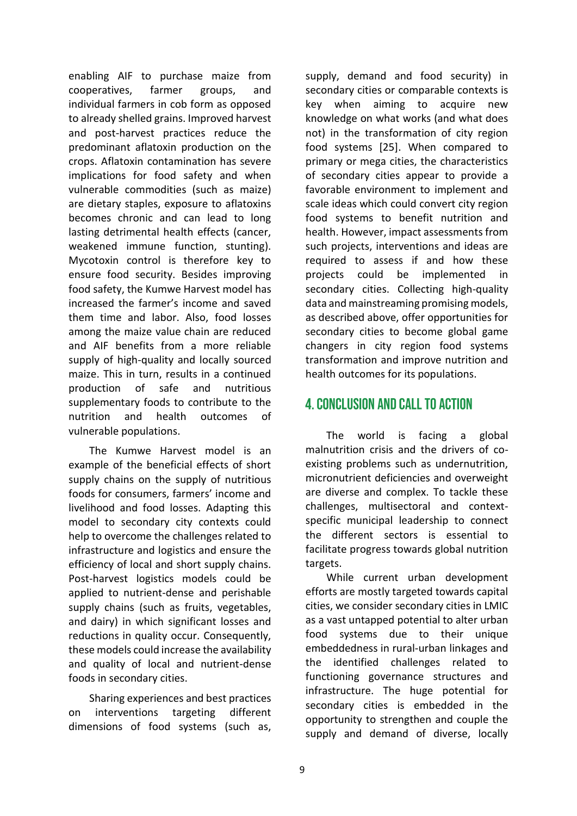enabling AIF to purchase maize from cooperatives, farmer groups, and individual farmers in cob form as opposed to already shelled grains. Improved harvest and post-harvest practices reduce the predominant aflatoxin production on the crops. Aflatoxin contamination has severe implications for food safety and when vulnerable commodities (such as maize) are dietary staples, exposure to aflatoxins becomes chronic and can lead to long lasting detrimental health effects (cancer, weakened immune function, stunting). Mycotoxin control is therefore key to ensure food security. Besides improving food safety, the Kumwe Harvest model has increased the farmer's income and saved them time and labor. Also, food losses among the maize value chain are reduced and AIF benefits from a more reliable supply of high-quality and locally sourced maize. This in turn, results in a continued production of safe and nutritious supplementary foods to contribute to the nutrition and health outcomes of vulnerable populations.

The Kumwe Harvest model is an example of the beneficial effects of short supply chains on the supply of nutritious foods for consumers, farmers' income and livelihood and food losses. Adapting this model to secondary city contexts could help to overcome the challenges related to infrastructure and logistics and ensure the efficiency of local and short supply chains. Post-harvest logistics models could be applied to nutrient-dense and perishable supply chains (such as fruits, vegetables, and dairy) in which significant losses and reductions in quality occur. Consequently, these models could increase the availability and quality of local and nutrient-dense foods in secondary cities.

Sharing experiences and best practices on interventions targeting different dimensions of food systems (such as,

supply, demand and food security) in secondary cities or comparable contexts is key when aiming to acquire new knowledge on what works (and what does not) in the transformation of city region food systems [25]. When compared to primary or mega cities, the characteristics of secondary cities appear to provide a favorable environment to implement and scale ideas which could convert city region food systems to benefit nutrition and health. However, impact assessments from such projects, interventions and ideas are required to assess if and how these projects could be implemented secondary cities. Collecting high-quality data and mainstreaming promising models, as described above, offer opportunities for secondary cities to become global game changers in city region food systems transformation and improve nutrition and health outcomes for its populations.

## 4 CONCLUSION AND CALL TO ACTION

The world is facing a global malnutrition crisis and the drivers of coexisting problems such as undernutrition, micronutrient deficiencies and overweight are diverse and complex. To tackle these challenges, multisectoral and contextspecific municipal leadership to connect the different sectors is essential to facilitate progress towards global nutrition targets.

While current urban development efforts are mostly targeted towards capital cities, we consider secondary cities in LMIC as a vast untapped potential to alter urban food systems due to their unique embeddedness in rural-urban linkages and the identified challenges related to functioning governance structures and infrastructure. The huge potential for secondary cities is embedded in the opportunity to strengthen and couple the supply and demand of diverse, locally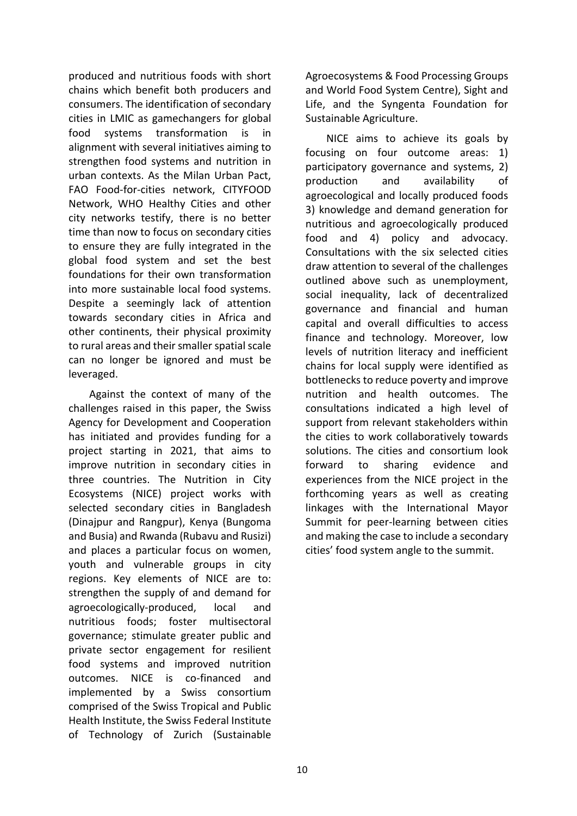produced and nutritious foods with short chains which benefit both producers and consumers. The identification of secondary cities in LMIC as gamechangers for global food systems transformation is in alignment with several initiatives aiming to strengthen food systems and nutrition in urban contexts. As the Milan Urban Pact, FAO Food-for-cities network, CITYFOOD Network, WHO Healthy Cities and other city networks testify, there is no better time than now to focus on secondary cities to ensure they are fully integrated in the global food system and set the best foundations for their own transformation into more sustainable local food systems. Despite a seemingly lack of attention towards secondary cities in Africa and other continents, their physical proximity to rural areas and their smaller spatial scale can no longer be ignored and must be leveraged.

Against the context of many of the challenges raised in this paper, the Swiss Agency for Development and Cooperation has initiated and provides funding for a project starting in 2021, that aims to improve nutrition in secondary cities in three countries. The Nutrition in City Ecosystems (NICE) project works with selected secondary cities in Bangladesh (Dinajpur and Rangpur), Kenya (Bungoma and Busia) and Rwanda (Rubavu and Rusizi) and places a particular focus on women, youth and vulnerable groups in city regions. Key elements of NICE are to: strengthen the supply of and demand for agroecologically-produced, local and nutritious foods; foster multisectoral governance; stimulate greater public and private sector engagement for resilient food systems and improved nutrition outcomes. NICE is co-financed and implemented by a Swiss consortium comprised of the Swiss Tropical and Public Health Institute, the Swiss Federal Institute of Technology of Zurich (Sustainable Agroecosystems & Food Processing Groups and World Food System Centre), Sight and Life, and the Syngenta Foundation for Sustainable Agriculture.

NICE aims to achieve its goals by focusing on four outcome areas: 1) participatory governance and systems, 2) production and availability of agroecological and locally produced foods 3) knowledge and demand generation for nutritious and agroecologically produced food and 4) policy and advocacy. Consultations with the six selected cities draw attention to several of the challenges outlined above such as unemployment, social inequality, lack of decentralized governance and financial and human capital and overall difficulties to access finance and technology. Moreover, low levels of nutrition literacy and inefficient chains for local supply were identified as bottlenecks to reduce poverty and improve nutrition and health outcomes. The consultations indicated a high level of support from relevant stakeholders within the cities to work collaboratively towards solutions. The cities and consortium look forward to sharing evidence and experiences from the NICE project in the forthcoming years as well as creating linkages with the International Mayor Summit for peer-learning between cities and making the case to include a secondary cities' food system angle to the summit.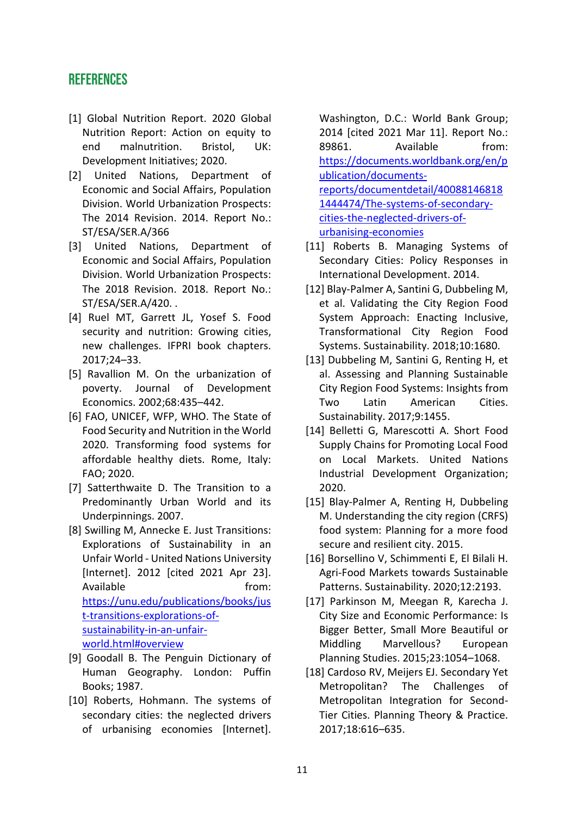## **REFERENCES**

- [1] Global Nutrition Report. 2020 Global Nutrition Report: Action on equity to end malnutrition. Bristol, UK: Development Initiatives; 2020.
- [2] United Nations, Department of Economic and Social Affairs, Population Division. World Urbanization Prospects: The 2014 Revision. 2014. Report No.: ST/ESA/SER.A/366
- [3] United Nations, Department of Economic and Social Affairs, Population Division. World Urbanization Prospects: The 2018 Revision. 2018. Report No.: ST/ESA/SER.A/420. .
- [4] Ruel MT, Garrett JL, Yosef S. Food security and nutrition: Growing cities, new challenges. IFPRI book chapters. 2017;24–33.
- [5] Ravallion M. On the urbanization of poverty. Journal of Development Economics. 2002;68:435–442.
- [6] FAO, UNICEF, WFP, WHO. The State of Food Security and Nutrition in the World 2020. Transforming food systems for affordable healthy diets. Rome, Italy: FAO; 2020.
- [7] Satterthwaite D. The Transition to a Predominantly Urban World and its Underpinnings. 2007.
- [8] Swilling M, Annecke E. Just Transitions: Explorations of Sustainability in an Unfair World - United Nations University [Internet]. 2012 [cited 2021 Apr 23]. Available **from:** [https://unu.edu/publications/books/jus](https://unu.edu/publications/books/just-transitions-explorations-of-sustainability-in-an-unfair-world.html#overview) [t-transitions-explorations-of](https://unu.edu/publications/books/just-transitions-explorations-of-sustainability-in-an-unfair-world.html#overview)[sustainability-in-an-unfair](https://unu.edu/publications/books/just-transitions-explorations-of-sustainability-in-an-unfair-world.html#overview)[world.html#overview](https://unu.edu/publications/books/just-transitions-explorations-of-sustainability-in-an-unfair-world.html#overview)
- [9] Goodall B. The Penguin Dictionary of Human Geography. London: Puffin Books; 1987.
- [10] Roberts, Hohmann. The systems of secondary cities: the neglected drivers of urbanising economies [Internet].

Washington, D.C.: World Bank Group; 2014 [cited 2021 Mar 11]. Report No.: 89861. Available from: [https://documents.worldbank.org/en/p](https://documents.worldbank.org/en/publication/documents-reports/documentdetail/400881468181444474/The-systems-of-secondary-cities-the-neglected-drivers-of-urbanising-economies) [ublication/documents](https://documents.worldbank.org/en/publication/documents-reports/documentdetail/400881468181444474/The-systems-of-secondary-cities-the-neglected-drivers-of-urbanising-economies)[reports/documentdetail/40088146818](https://documents.worldbank.org/en/publication/documents-reports/documentdetail/400881468181444474/The-systems-of-secondary-cities-the-neglected-drivers-of-urbanising-economies) [1444474/The-systems-of-secondary](https://documents.worldbank.org/en/publication/documents-reports/documentdetail/400881468181444474/The-systems-of-secondary-cities-the-neglected-drivers-of-urbanising-economies)[cities-the-neglected-drivers-of](https://documents.worldbank.org/en/publication/documents-reports/documentdetail/400881468181444474/The-systems-of-secondary-cities-the-neglected-drivers-of-urbanising-economies)[urbanising-economies](https://documents.worldbank.org/en/publication/documents-reports/documentdetail/400881468181444474/The-systems-of-secondary-cities-the-neglected-drivers-of-urbanising-economies)

- [11] Roberts B. Managing Systems of Secondary Cities: Policy Responses in International Development. 2014.
- [12] Blay-Palmer A, Santini G, Dubbeling M, et al. Validating the City Region Food System Approach: Enacting Inclusive, Transformational City Region Food Systems. Sustainability. 2018;10:1680.
- [13] Dubbeling M, Santini G, Renting H, et al. Assessing and Planning Sustainable City Region Food Systems: Insights from Two Latin American Cities. Sustainability. 2017;9:1455.
- [14] Belletti G, Marescotti A. Short Food Supply Chains for Promoting Local Food on Local Markets. United Nations Industrial Development Organization; 2020.
- [15] Blay-Palmer A, Renting H, Dubbeling M. Understanding the city region (CRFS) food system: Planning for a more food secure and resilient city. 2015.
- [16] Borsellino V, Schimmenti E, El Bilali H. Agri-Food Markets towards Sustainable Patterns. Sustainability. 2020;12:2193.
- [17] Parkinson M, Meegan R, Karecha J. City Size and Economic Performance: Is Bigger Better, Small More Beautiful or Middling Marvellous? European Planning Studies. 2015;23:1054–1068.
- [18] Cardoso RV, Meijers EJ. Secondary Yet Metropolitan? The Challenges of Metropolitan Integration for Second-Tier Cities. Planning Theory & Practice. 2017;18:616–635.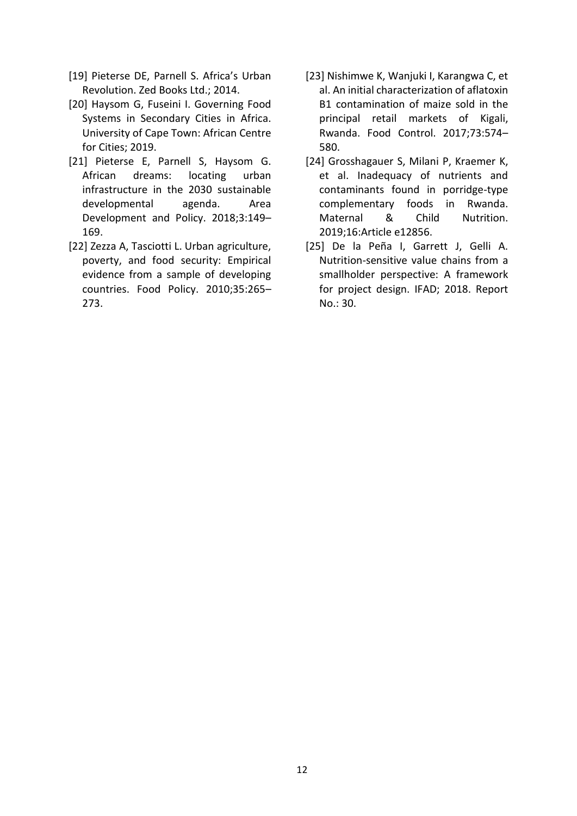- [19] Pieterse DE, Parnell S. Africa's Urban Revolution. Zed Books Ltd.; 2014.
- [20] Haysom G, Fuseini I. Governing Food Systems in Secondary Cities in Africa. University of Cape Town: African Centre for Cities; 2019.
- [21] Pieterse E, Parnell S, Haysom G. African dreams: locating urban infrastructure in the 2030 sustainable developmental agenda. Area Development and Policy. 2018;3:149– 169.
- [22] Zezza A, Tasciotti L. Urban agriculture, poverty, and food security: Empirical evidence from a sample of developing countries. Food Policy. 2010;35:265– 273.
- [23] Nishimwe K, Wanjuki I, Karangwa C, et al. An initial characterization of aflatoxin B1 contamination of maize sold in the principal retail markets of Kigali, Rwanda. Food Control. 2017;73:574– 580.
- [24] Grosshagauer S, Milani P, Kraemer K, et al. Inadequacy of nutrients and contaminants found in porridge-type complementary foods in Rwanda. Maternal & Child Nutrition. 2019;16:Article e12856.
- [25] De la Peña I, Garrett J, Gelli A. Nutrition-sensitive value chains from a smallholder perspective: A framework for project design. IFAD; 2018. Report No.: 30.